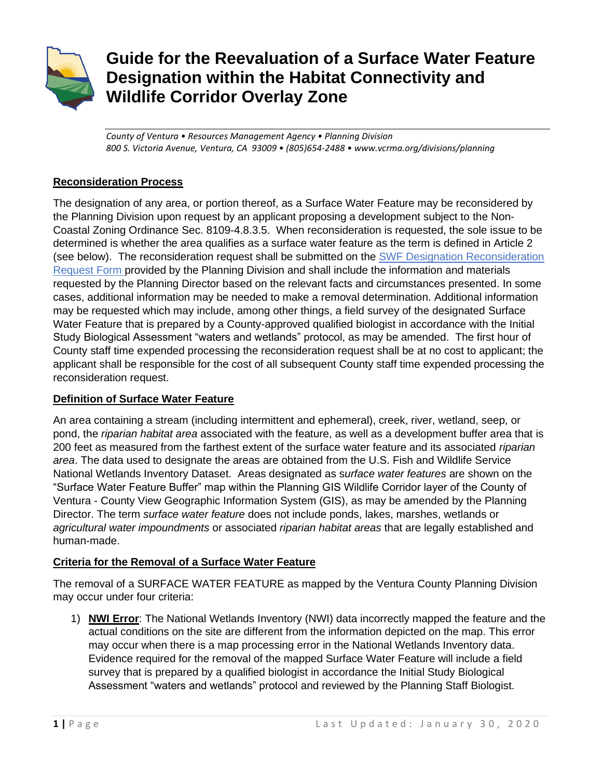

# **Guide for the Reevaluation of a Surface Water Feature Designation within the Habitat Connectivity and Wildlife Corridor Overlay Zone**

*County of Ventura • Resources Management Agency • Planning Division 800 S. Victoria Avenue, Ventura, CA 93009 • (805)654-2488 • www.vcrma.org/divisions/planning*

# **Reconsideration Process**

The designation of any area, or portion thereof, as a Surface Water Feature may be reconsidered by the Planning Division upon request by an applicant proposing a development subject to the Non-Coastal Zoning Ordinance Sec. 8109-4.8.3.5. When reconsideration is requested, the sole issue to be determined is whether the area qualifies as a surface water feature as the term is defined in Article 2 (see below). The reconsideration request shall be submitted on the [SWF Designation Reconsideration](https://docs.vcrma.org/images/pdf/planning/HCWC/SWF_Reconsideration_Form.pdf)  [Request](https://docs.vcrma.org/images/pdf/planning/HCWC/SWF_Reconsideration_Form.pdf) Form provided by the Planning Division and shall include the information and materials requested by the Planning Director based on the relevant facts and circumstances presented. In some cases, additional information may be needed to make a removal determination. Additional information may be requested which may include, among other things, a field survey of the designated Surface Water Feature that is prepared by a County-approved qualified biologist in accordance with the Initial Study Biological Assessment "waters and wetlands" protocol, as may be amended. The first hour of County staff time expended processing the reconsideration request shall be at no cost to applicant; the applicant shall be responsible for the cost of all subsequent County staff time expended processing the reconsideration request.

# **Definition of Surface Water Feature**

An area containing a stream (including intermittent and ephemeral), creek, river, wetland, seep, or pond, the *riparian habitat area* associated with the feature, as well as a development buffer area that is 200 feet as measured from the farthest extent of the surface water feature and its associated *riparian area*. The data used to designate the areas are obtained from the U.S. Fish and Wildlife Service National Wetlands Inventory Dataset.Areas designated as s*urface water features* are shown on the "Surface Water Feature Buffer" map within the Planning GIS Wildlife Corridor layer of the County of Ventura - County View Geographic Information System (GIS), as may be amended by the Planning Director. The term *surface water feature* does not include ponds, lakes, marshes, wetlands or *agricultural water impoundments* or associated *riparian habitat areas* that are legally established and human-made.

# **Criteria for the Removal of a Surface Water Feature**

The removal of a SURFACE WATER FEATURE as mapped by the Ventura County Planning Division may occur under four criteria:

1) **NWI Error**: The National Wetlands Inventory (NWI) data incorrectly mapped the feature and the actual conditions on the site are different from the information depicted on the map. This error may occur when there is a map processing error in the National Wetlands Inventory data. Evidence required for the removal of the mapped Surface Water Feature will include a field survey that is prepared by a qualified biologist in accordance the Initial Study Biological Assessment "waters and wetlands" protocol and reviewed by the Planning Staff Biologist.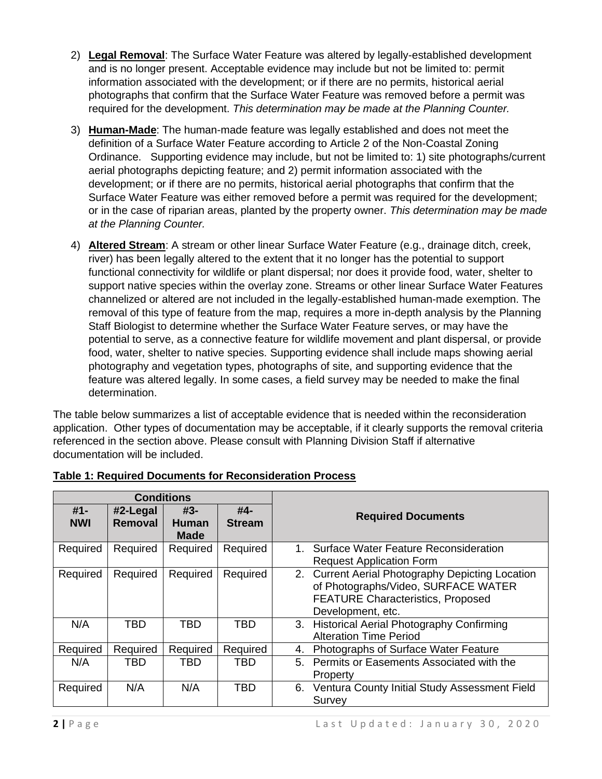- 2) **Legal Removal**: The Surface Water Feature was altered by legally-established development and is no longer present. Acceptable evidence may include but not be limited to: permit information associated with the development; or if there are no permits, historical aerial photographs that confirm that the Surface Water Feature was removed before a permit was required for the development. *This determination may be made at the Planning Counter.*
- 3) **Human-Made**: The human-made feature was legally established and does not meet the definition of a Surface Water Feature according to Article 2 of the Non-Coastal Zoning Ordinance. Supporting evidence may include, but not be limited to: 1) site photographs/current aerial photographs depicting feature; and 2) permit information associated with the development; or if there are no permits, historical aerial photographs that confirm that the Surface Water Feature was either removed before a permit was required for the development; or in the case of riparian areas, planted by the property owner. *This determination may be made at the Planning Counter.*
- 4) **Altered Stream**: A stream or other linear Surface Water Feature (e.g., drainage ditch, creek, river) has been legally altered to the extent that it no longer has the potential to support functional connectivity for wildlife or plant dispersal; nor does it provide food, water, shelter to support native species within the overlay zone. Streams or other linear Surface Water Features channelized or altered are not included in the legally-established human-made exemption. The removal of this type of feature from the map, requires a more in-depth analysis by the Planning Staff Biologist to determine whether the Surface Water Feature serves, or may have the potential to serve, as a connective feature for wildlife movement and plant dispersal, or provide food, water, shelter to native species. Supporting evidence shall include maps showing aerial photography and vegetation types, photographs of site, and supporting evidence that the feature was altered legally. In some cases, a field survey may be needed to make the final determination.

The table below summarizes a list of acceptable evidence that is needed within the reconsideration application. Other types of documentation may be acceptable, if it clearly supports the removal criteria referenced in the section above. Please consult with Planning Division Staff if alternative documentation will be included.

| <b>Conditions</b>    |                     |                                    |                      |                                                                                                                                                          |
|----------------------|---------------------|------------------------------------|----------------------|----------------------------------------------------------------------------------------------------------------------------------------------------------|
| $#1 -$<br><b>NWI</b> | #2-Legal<br>Removal | #3-<br><b>Human</b><br><b>Made</b> | #4-<br><b>Stream</b> | <b>Required Documents</b>                                                                                                                                |
| Required             | Required            | Required                           | Required             | Surface Water Feature Reconsideration<br>1.<br><b>Request Application Form</b>                                                                           |
| Required             | Required            | Required                           | Required             | 2. Current Aerial Photography Depicting Location<br>of Photographs/Video, SURFACE WATER<br><b>FEATURE Characteristics, Proposed</b><br>Development, etc. |
| N/A                  | <b>TBD</b>          | <b>TBD</b>                         | <b>TBD</b>           | 3. Historical Aerial Photography Confirming<br><b>Alteration Time Period</b>                                                                             |
| Required             | Required            | Required                           | Required             | Photographs of Surface Water Feature<br>4.                                                                                                               |
| N/A                  | TBD                 | TBD                                | <b>TBD</b>           | Permits or Easements Associated with the<br>5.<br>Property                                                                                               |
| Required             | N/A                 | N/A                                | <b>TBD</b>           | 6. Ventura County Initial Study Assessment Field<br>Survey                                                                                               |

# **Table 1: Required Documents for Reconsideration Process**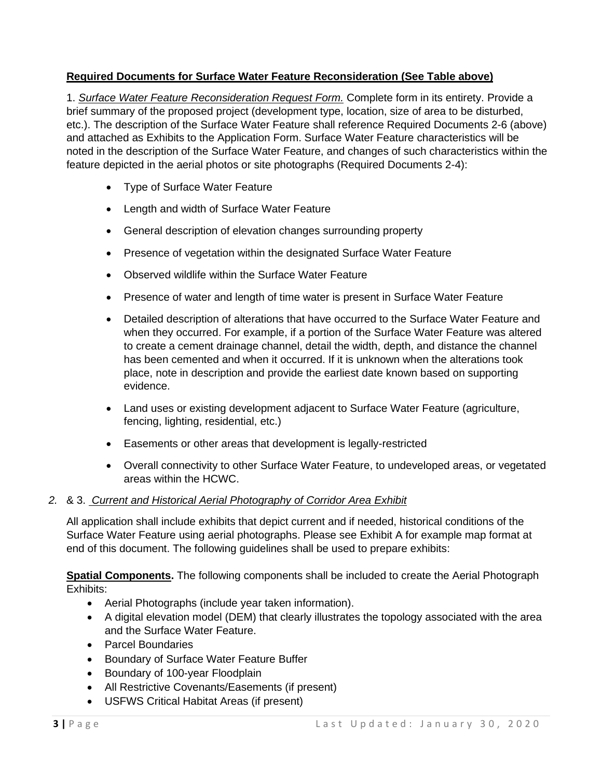# **Required Documents for Surface Water Feature Reconsideration (See Table above)**

1. *Surface Water Feature Reconsideration Request Form.* Complete form in its entirety. Provide a brief summary of the proposed project (development type, location, size of area to be disturbed, etc.). The description of the Surface Water Feature shall reference Required Documents 2-6 (above) and attached as Exhibits to the Application Form. Surface Water Feature characteristics will be noted in the description of the Surface Water Feature, and changes of such characteristics within the feature depicted in the aerial photos or site photographs (Required Documents 2-4):

- Type of Surface Water Feature
- Length and width of Surface Water Feature
- General description of elevation changes surrounding property
- Presence of vegetation within the designated Surface Water Feature
- Observed wildlife within the Surface Water Feature
- Presence of water and length of time water is present in Surface Water Feature
- Detailed description of alterations that have occurred to the Surface Water Feature and when they occurred. For example, if a portion of the Surface Water Feature was altered to create a cement drainage channel, detail the width, depth, and distance the channel has been cemented and when it occurred. If it is unknown when the alterations took place, note in description and provide the earliest date known based on supporting evidence.
- Land uses or existing development adjacent to Surface Water Feature (agriculture, fencing, lighting, residential, etc.)
- Easements or other areas that development is legally-restricted
- Overall connectivity to other Surface Water Feature, to undeveloped areas, or vegetated areas within the HCWC.

# *2.* & 3. *Current and Historical Aerial Photography of Corridor Area Exhibit*

All application shall include exhibits that depict current and if needed, historical conditions of the Surface Water Feature using aerial photographs. Please see Exhibit A for example map format at end of this document. The following guidelines shall be used to prepare exhibits:

**Spatial Components.** The following components shall be included to create the Aerial Photograph Exhibits:

- Aerial Photographs (include year taken information).
- A digital elevation model (DEM) that clearly illustrates the topology associated with the area and the Surface Water Feature.
- Parcel Boundaries
- Boundary of Surface Water Feature Buffer
- Boundary of 100-year Floodplain
- All Restrictive Covenants/Easements (if present)
- USFWS Critical Habitat Areas (if present)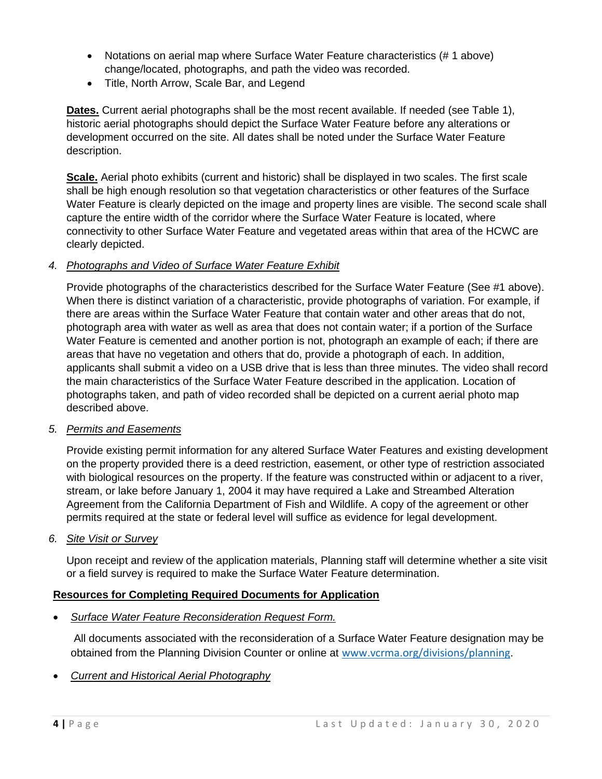- Notations on aerial map where Surface Water Feature characteristics (# 1 above) change/located, photographs, and path the video was recorded.
- Title, North Arrow, Scale Bar, and Legend

**Dates.** Current aerial photographs shall be the most recent available. If needed (see Table 1), historic aerial photographs should depict the Surface Water Feature before any alterations or development occurred on the site. All dates shall be noted under the Surface Water Feature description.

**Scale.** Aerial photo exhibits (current and historic) shall be displayed in two scales. The first scale shall be high enough resolution so that vegetation characteristics or other features of the Surface Water Feature is clearly depicted on the image and property lines are visible. The second scale shall capture the entire width of the corridor where the Surface Water Feature is located, where connectivity to other Surface Water Feature and vegetated areas within that area of the HCWC are clearly depicted.

#### *4. Photographs and Video of Surface Water Feature Exhibit*

Provide photographs of the characteristics described for the Surface Water Feature (See #1 above). When there is distinct variation of a characteristic, provide photographs of variation. For example, if there are areas within the Surface Water Feature that contain water and other areas that do not, photograph area with water as well as area that does not contain water; if a portion of the Surface Water Feature is cemented and another portion is not, photograph an example of each; if there are areas that have no vegetation and others that do, provide a photograph of each. In addition, applicants shall submit a video on a USB drive that is less than three minutes. The video shall record the main characteristics of the Surface Water Feature described in the application. Location of photographs taken, and path of video recorded shall be depicted on a current aerial photo map described above.

#### *5. Permits and Easements*

Provide existing permit information for any altered Surface Water Features and existing development on the property provided there is a deed restriction, easement, or other type of restriction associated with biological resources on the property. If the feature was constructed within or adjacent to a river, stream, or lake before January 1, 2004 it may have required a Lake and Streambed Alteration Agreement from the California Department of Fish and Wildlife. A copy of the agreement or other permits required at the state or federal level will suffice as evidence for legal development.

#### *6. Site Visit or Survey*

Upon receipt and review of the application materials, Planning staff will determine whether a site visit or a field survey is required to make the Surface Water Feature determination.

# **Resources for Completing Required Documents for Application**

• *Surface Water Feature Reconsideration Request Form.*

All documents associated with the reconsideration of a Surface Water Feature designation may be obtained from the Planning Division Counter or online at [www.vcrma.org/divisions/planning](http://www.vcrma.org/divisions/planning).

• *Current and Historical Aerial Photography*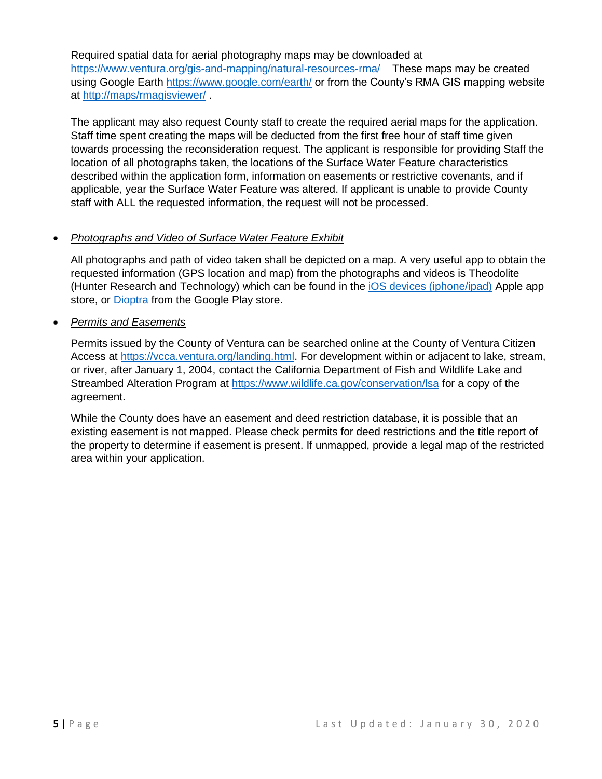Required spatial data for aerial photography maps may be downloaded at <https://www.ventura.org/gis-and-mapping/natural-resources-rma/>These maps may be created using Google Earth<https://www.google.com/earth/> or from the County's RMA GIS mapping website at<http://maps/rmagisviewer/> .

The applicant may also request County staff to create the required aerial maps for the application. Staff time spent creating the maps will be deducted from the first free hour of staff time given towards processing the reconsideration request. The applicant is responsible for providing Staff the location of all photographs taken, the locations of the Surface Water Feature characteristics described within the application form, information on easements or restrictive covenants, and if applicable, year the Surface Water Feature was altered. If applicant is unable to provide County staff with ALL the requested information, the request will not be processed.

# • *Photographs and Video of Surface Water Feature Exhibit*

All photographs and path of video taken shall be depicted on a map. A very useful app to obtain the requested information (GPS location and map) from the photographs and videos is Theodolite (Hunter Research and Technology) which can be found in the [iOS devices \(iphone/ipad\)](https://itunes.apple.com/us/app/theodolite/id339393884?mt=8) Apple app store, or [Dioptra](https://play.google.com/store/apps/details?id=com.glidelinesystems.dioptra&hl=en_US) from the Google Play store.

# • *Permits and Easements*

Permits issued by the County of Ventura can be searched online at the County of Ventura Citizen Access at [https://vcca.ventura.org/landing.html.](https://vcca.ventura.org/landing.html) For development within or adjacent to lake, stream, or river, after January 1, 2004, contact the California Department of Fish and Wildlife Lake and Streambed Alteration Program at<https://www.wildlife.ca.gov/conservation/lsa> for a copy of the agreement.

While the County does have an easement and deed restriction database, it is possible that an existing easement is not mapped. Please check permits for deed restrictions and the title report of the property to determine if easement is present. If unmapped, provide a legal map of the restricted area within your application.